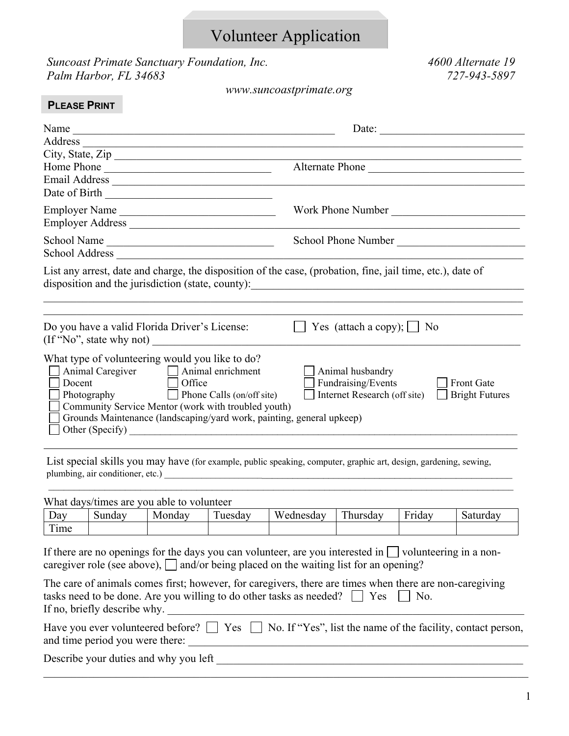# Volunteer Application

*Suncoast Primate Sanctuary Foundation, Inc. 4600 Alternate 19 Palm Harbor, FL 34683 727-943-5897* 

*www.suncoastprimate.org* 

| Name                                                                                                   | Date:                                  |
|--------------------------------------------------------------------------------------------------------|----------------------------------------|
|                                                                                                        |                                        |
| City, State, Zip                                                                                       |                                        |
| Home Phone                                                                                             | Alternate Phone                        |
|                                                                                                        |                                        |
| Date of Birth                                                                                          |                                        |
| Employer Name                                                                                          | Work Phone Number                      |
|                                                                                                        |                                        |
| School Name                                                                                            | School Phone Number                    |
| School Address                                                                                         |                                        |
|                                                                                                        |                                        |
| Do you have a valid Florida Driver's License:<br>$($ If "No", state why not)                           | Yes (attach a copy); $\Box$ No         |
| What type of volunteering would you like to do?<br>Animal Caregiver Animal enrichment<br>$\Box$ Office | Animal husbandry<br>Fundraising/Events |

List special skills you may have (for example, public speaking, computer, graphic art, design, gardening, sewing, plumbing, air conditioner, etc.) \_\_\_\_\_\_\_\_\_\_\_\_\_\_\_\_\_\_\_\_\_\_\_\_\_\_\_\_\_\_\_\_\_\_\_\_\_\_\_\_\_\_\_\_\_\_\_\_\_\_\_\_\_\_\_\_\_\_\_\_\_\_\_\_\_\_\_\_\_\_

What days/times are you able to volunteer

| $\Delta$ d $\rm{V}$             | -<br>Sundav | Monday | $\mathbf{r}$<br>uesdav | <b>TTT</b><br>Wednesday | T1<br>hursdav | $\overline{\phantom{0}}$<br>. .<br>Friday | $\sim$<br>Saturday |
|---------------------------------|-------------|--------|------------------------|-------------------------|---------------|-------------------------------------------|--------------------|
| $\mathbf{r}$<br><sub>1</sub> me |             |        |                        |                         |               |                                           |                    |

 $\mathcal{L}_\mathcal{L} = \mathcal{L}_\mathcal{L} = \mathcal{L}_\mathcal{L} = \mathcal{L}_\mathcal{L} = \mathcal{L}_\mathcal{L} = \mathcal{L}_\mathcal{L} = \mathcal{L}_\mathcal{L} = \mathcal{L}_\mathcal{L} = \mathcal{L}_\mathcal{L} = \mathcal{L}_\mathcal{L} = \mathcal{L}_\mathcal{L} = \mathcal{L}_\mathcal{L} = \mathcal{L}_\mathcal{L} = \mathcal{L}_\mathcal{L} = \mathcal{L}_\mathcal{L} = \mathcal{L}_\mathcal{L} = \mathcal{L}_\mathcal{L}$ 

If there are no openings for the days you can volunteer, are you interested in  $\Box$  volunteering in a noncaregiver role (see above),  $\Box$  and/or being placed on the waiting list for an opening?

| The care of animals comes first; however, for caregivers, there are times when there are non-caregiving |
|---------------------------------------------------------------------------------------------------------|
| tasks need to be done. Are you willing to do other tasks as needed? $\Box$ Yes $\Box$ No.               |
| If no, briefly describe why.                                                                            |
|                                                                                                         |

|                                 | Have you ever volunteered before? $\Box$ Yes $\Box$ No. If "Yes", list the name of the facility, contact person, |
|---------------------------------|------------------------------------------------------------------------------------------------------------------|
| and time period you were there: |                                                                                                                  |

 $\_$  , and the contribution of the contribution of the contribution of the contribution of  $\mathcal{L}_\text{max}$ 

Describe your duties and why you left \_\_\_\_\_\_\_\_\_\_\_\_\_\_\_\_\_\_\_\_\_\_\_\_\_\_\_\_\_\_\_\_\_\_\_\_\_\_\_\_\_\_\_\_\_\_\_\_\_\_\_\_\_\_\_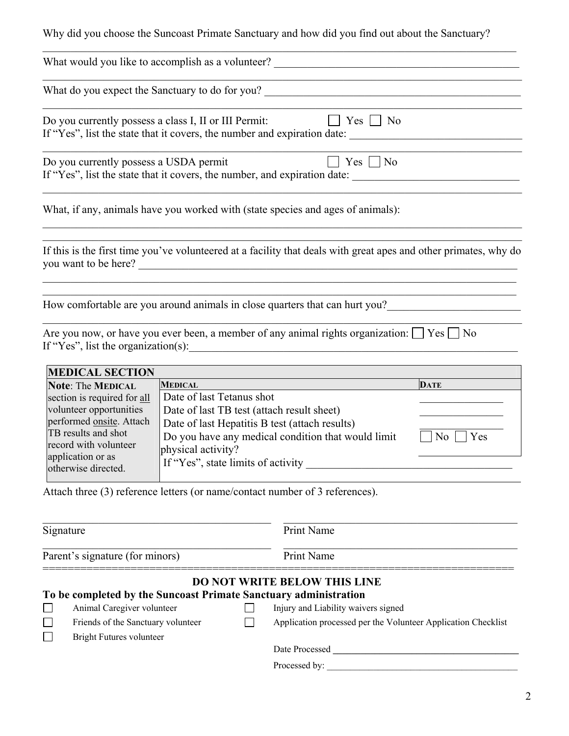Why did you choose the Suncoast Primate Sanctuary and how did you find out about the Sanctuary?

| What would you like to accomplish as a volunteer? _______________________________                                                                                     |                                             |              |                                                                        |                                                                                                                  |
|-----------------------------------------------------------------------------------------------------------------------------------------------------------------------|---------------------------------------------|--------------|------------------------------------------------------------------------|------------------------------------------------------------------------------------------------------------------|
|                                                                                                                                                                       |                                             |              |                                                                        | What do you expect the Sanctuary to do for you?                                                                  |
| Do you currently possess a class I, II or III Permit:<br>If "Yes", list the state that it covers, the number and expiration date:                                     |                                             |              | $ $   Yes     No                                                       |                                                                                                                  |
| Do you currently possess a USDA permit<br>If "Yes", list the state that it covers, the number, and expiration date:                                                   |                                             |              | $ $ Yes $ $ No                                                         |                                                                                                                  |
| What, if any, animals have you worked with (state species and ages of animals):                                                                                       |                                             |              |                                                                        |                                                                                                                  |
| you want to be here?                                                                                                                                                  |                                             |              |                                                                        | If this is the first time you've volunteered at a facility that deals with great apes and other primates, why do |
|                                                                                                                                                                       |                                             |              |                                                                        | How comfortable are you around animals in close quarters that can hurt you?                                      |
| Are you now, or have you ever been, a member of any animal rights organization: $\Box$ Yes $\Box$ No<br>If "Yes", list the organization(s):<br><b>MEDICAL SECTION</b> |                                             |              | <u> 1980 - Jan Barbara, martin da kasar Amerikaan kasar Indonesia.</u> |                                                                                                                  |
|                                                                                                                                                                       |                                             |              |                                                                        |                                                                                                                  |
| <b>Note: The MEDICAL</b>                                                                                                                                              | <b>MEDICAL</b><br>Date of last Tetanus shot |              |                                                                        | <b>DATE</b>                                                                                                      |
| section is required for all                                                                                                                                           |                                             |              |                                                                        |                                                                                                                  |
| volunteer opportunities<br>performed onsite. Attach                                                                                                                   |                                             |              | Date of last TB test (attach result sheet)                             |                                                                                                                  |
| TB results and shot                                                                                                                                                   |                                             |              | Date of last Hepatitis B test (attach results)                         |                                                                                                                  |
| record with volunteer                                                                                                                                                 |                                             |              | Do you have any medical condition that would limit                     | Yes<br>No.                                                                                                       |
| application or as                                                                                                                                                     | physical activity?                          |              |                                                                        |                                                                                                                  |
| otherwise directed.                                                                                                                                                   | If "Yes", state limits of activity          |              |                                                                        |                                                                                                                  |
| Attach three (3) reference letters (or name/contact number of 3 references).                                                                                          |                                             |              |                                                                        |                                                                                                                  |
| Signature                                                                                                                                                             |                                             |              | Print Name                                                             |                                                                                                                  |
|                                                                                                                                                                       |                                             |              |                                                                        |                                                                                                                  |
| Parent's signature (for minors)                                                                                                                                       |                                             |              | Print Name                                                             |                                                                                                                  |
|                                                                                                                                                                       |                                             |              | <b>DO NOT WRITE BELOW THIS LINE</b>                                    |                                                                                                                  |
| To be completed by the Suncoast Primate Sanctuary administration                                                                                                      |                                             |              |                                                                        |                                                                                                                  |
| Animal Caregiver volunteer                                                                                                                                            |                                             |              | Injury and Liability waivers signed                                    |                                                                                                                  |
| Friends of the Sanctuary volunteer                                                                                                                                    |                                             | $\mathsf{L}$ |                                                                        | Application processed per the Volunteer Application Checklist                                                    |
| $\mathcal{L}_{\mathcal{A}}$<br><b>Bright Futures volunteer</b>                                                                                                        |                                             |              |                                                                        |                                                                                                                  |
|                                                                                                                                                                       |                                             |              |                                                                        |                                                                                                                  |
|                                                                                                                                                                       |                                             |              |                                                                        |                                                                                                                  |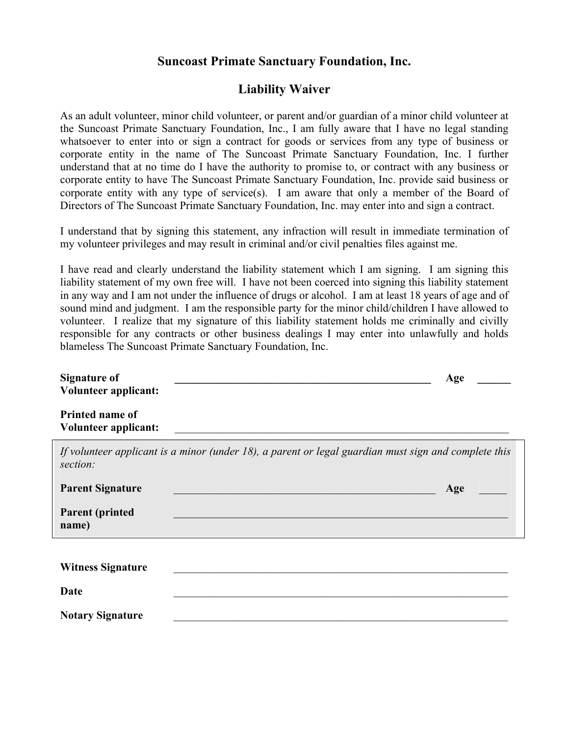## **Suncoast Primate Sanctuary Foundation, Inc.**

## **Liability Waiver**

As an adult volunteer, minor child volunteer, or parent and/or guardian of a minor child volunteer at the Suncoast Primate Sanctuary Foundation, Inc., I am fully aware that I have no legal standing whatsoever to enter into or sign a contract for goods or services from any type of business or corporate entity in the name of The Suncoast Primate Sanctuary Foundation, Inc. I further understand that at no time do I have the authority to promise to, or contract with any business or corporate entity to have The Suncoast Primate Sanctuary Foundation, Inc. provide said business or corporate entity with any type of service(s). I am aware that only a member of the Board of Directors of The Suncoast Primate Sanctuary Foundation, Inc. may enter into and sign a contract.

I understand that by signing this statement, any infraction will result in immediate termination of my volunteer privileges and may result in criminal and/or civil penalties files against me.

I have read and clearly understand the liability statement which I am signing. I am signing this liability statement of my own free will. I have not been coerced into signing this liability statement in any way and I am not under the influence of drugs or alcohol. I am at least 18 years of age and of sound mind and judgment. I am the responsible party for the minor child/children I have allowed to volunteer. I realize that my signature of this liability statement holds me criminally and civilly responsible for any contracts or other business dealings I may enter into unlawfully and holds blameless The Suncoast Primate Sanctuary Foundation, Inc.

| <b>Signature of</b>                            |                                                                                                      | Age |
|------------------------------------------------|------------------------------------------------------------------------------------------------------|-----|
| <b>Volunteer applicant:</b>                    |                                                                                                      |     |
| Printed name of<br><b>Volunteer applicant:</b> |                                                                                                      |     |
| section:                                       | If volunteer applicant is a minor (under 18), a parent or legal guardian must sign and complete this |     |
| <b>Parent Signature</b>                        |                                                                                                      | Age |
| <b>Parent (printed)</b><br>name)               |                                                                                                      |     |
|                                                |                                                                                                      |     |
| <b>Witness Signature</b>                       |                                                                                                      |     |
| Date                                           |                                                                                                      |     |
| <b>Notary Signature</b>                        |                                                                                                      |     |